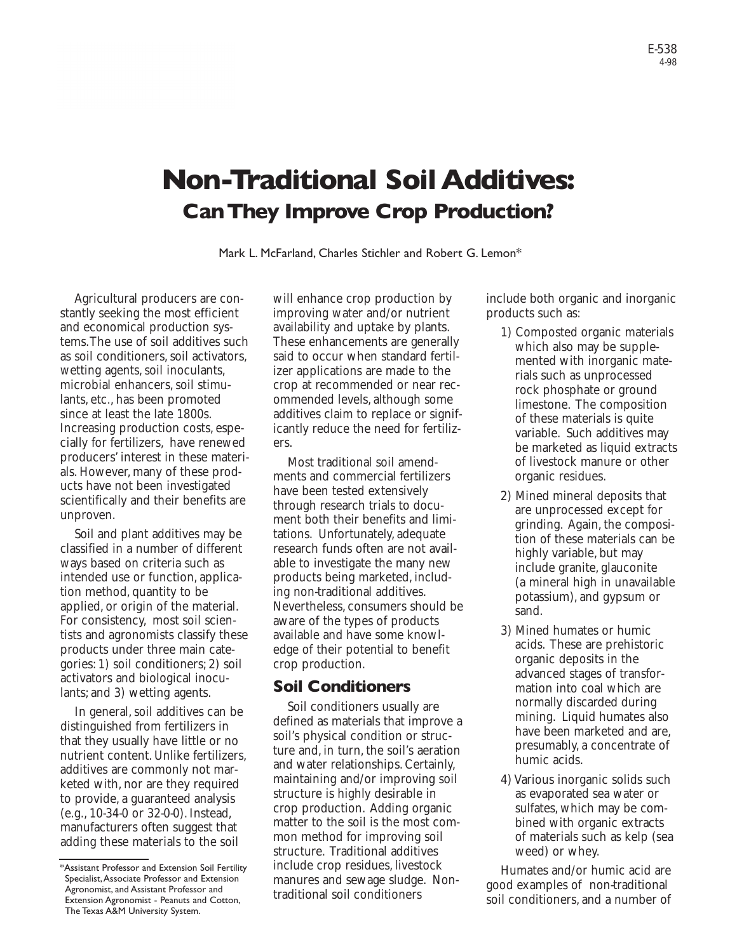# **Non-Traditional Soil Additives: Can They Improve Crop Production?**

Mark L. McFarland, Charles Stichler and Robert G. Lemon\*

Agricultural producers are constantly seeking the most efficient and economical production systems.The use of soil additives such as soil conditioners, soil activators, wetting agents, soil inoculants, microbial enhancers, soil stimulants, etc., has been promoted since at least the late 1800s. Increasing production costs, especially for fertilizers, have renewed producers' interest in these materials. However, many of these products have not been investigated scientifically and their benefits are unproven.

Soil and plant additives may be classified in a number of different ways based on criteria such as intended use or function, application method, quantity to be applied, or origin of the material. For consistency, most soil scientists and agronomists classify these products under three main categories: 1) soil conditioners; 2) soil activators and biological inoculants; and 3) wetting agents.

In general, soil additives can be distinguished from fertilizers in that they usually have little or no nutrient content. Unlike fertilizers, additives are commonly not marketed with, nor are they required to provide, a guaranteed analysis (e.g., 10-34-0 or 32-0-0). Instead, manufacturers often suggest that adding these materials to the soil

will enhance crop production by improving water and/or nutrient availability and uptake by plants. These enhancements are generally said to occur when standard fertilizer applications are made to the crop at recommended or near recommended levels, although some additives claim to replace or significantly reduce the need for fertilizers.

Most traditional soil amendments and commercial fertilizers have been tested extensively through research trials to document both their benefits and limitations. Unfortunately, adequate research funds often are not available to investigate the many new products being marketed, including non-traditional additives. Nevertheless, consumers should be aware of the types of products available and have some knowledge of their potential to benefit crop production.

### **Soil Conditioners**

Soil conditioners usually are defined as materials that improve a soil's physical condition or structure and, in turn, the soil's aeration and water relationships. Certainly, maintaining and/or improving soil structure is highly desirable in crop production. Adding organic matter to the soil is the most common method for improving soil structure. Traditional additives include crop residues, livestock manures and sewage sludge. Nontraditional soil conditioners

include both organic and inorganic products such as:

- 1) Composted organic materials which also may be supplemented with inorganic materials such as unprocessed rock phosphate or ground limestone. The composition of these materials is quite variable. Such additives may be marketed as liquid extracts of livestock manure or other organic residues.
- 2) Mined mineral deposits that are unprocessed except for grinding. Again, the composition of these materials can be highly variable, but may include granite, glauconite (a mineral high in unavailable potassium), and gypsum or sand.
- 3) Mined humates or humic acids. These are prehistoric organic deposits in the advanced stages of transformation into coal which are normally discarded during mining. Liquid humates also have been marketed and are, presumably, a concentrate of humic acids.
- 4) Various inorganic solids such as evaporated sea water or sulfates, which may be combined with organic extracts of materials such as kelp (sea weed) or whey.

Humates and/or humic acid are good examples of non-traditional soil conditioners, and a number of

<sup>\*</sup>Assistant Professor and Extension Soil Fertility Specialist,Associate Professor and Extension Agronomist, and Assistant Professor and Extension Agronomist - Peanuts and Cotton, The Texas A&M University System.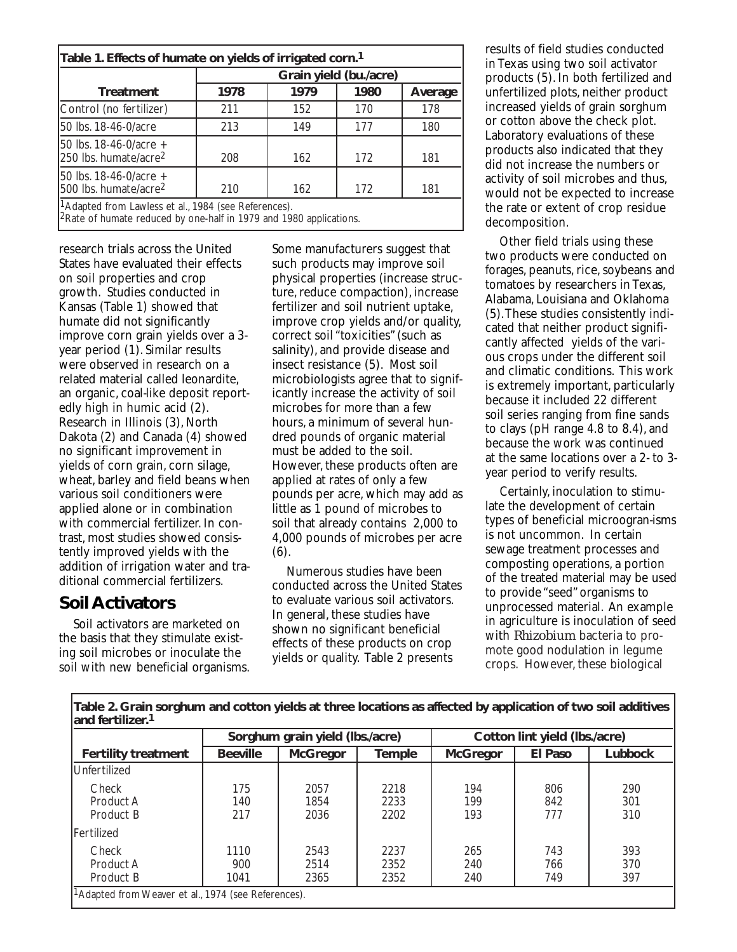|                                                             | Grain yield (bu./acre) |      |      |         |  |
|-------------------------------------------------------------|------------------------|------|------|---------|--|
| <b>Treatment</b>                                            | 1978                   | 1979 | 1980 | Average |  |
| Control (no fertilizer)                                     | 211                    | 152  | 170  | 178     |  |
| 50 lbs. 18-46-0/acre                                        | 213                    | 149  | 177  | 180     |  |
| 50 lbs. 18-46-0/acre +<br>250 lbs. humate/acre <sup>2</sup> | 208                    | 162  | 172  | 181     |  |
| 50 lbs. 18-46-0/acre +<br>500 lbs. humate/acre <sup>2</sup> | 210                    | 162  | 172  | 181     |  |

2Rate of humate reduced by one-half in 1979 and 1980 applications.

research trials across the United States have evaluated their effects on soil properties and crop growth. Studies conducted in Kansas (Table 1) showed that humate did not significantly improve corn grain yields over a 3 year period (1). Similar results were observed in research on a related material called leonardite, an organic, coal-like deposit reportedly high in humic acid (2). Research in Illinois (3), North Dakota (2) and Canada (4) showed no significant improvement in yields of corn grain, corn silage, wheat, barley and field beans when various soil conditioners were applied alone or in combination with commercial fertilizer. In contrast, most studies showed consistently improved yields with the addition of irrigation water and traditional commercial fertilizers.

### **Soil Activators**

Soil activators are marketed on the basis that they stimulate existing soil microbes or inoculate the soil with new beneficial organisms. Some manufacturers suggest that such products may improve soil physical properties (increase structure, reduce compaction), increase fertilizer and soil nutrient uptake, improve crop yields and/or quality, correct soil "toxicities" (such as salinity), and provide disease and insect resistance (5). Most soil microbiologists agree that to significantly increase the activity of soil microbes for more than a few hours, a minimum of several hundred pounds of organic material must be added to the soil. However, these products often are applied at rates of only a few pounds per acre, which may add as little as 1 pound of microbes to soil that already contains 2,000 to 4,000 pounds of microbes per acre (6).

Numerous studies have been conducted across the United States to evaluate various soil activators. In general, these studies have shown no significant beneficial effects of these products on crop yields or quality. Table 2 presents

results of field studies conducted in Texas using two soil activator products (5). In both fertilized and unfertilized plots, neither product increased yields of grain sorghum or cotton above the check plot. Laboratory evaluations of these products also indicated that they did not increase the numbers or activity of soil microbes and thus, would not be expected to increase the rate or extent of crop residue decomposition.

Other field trials using these two products were conducted on forages, peanuts, rice, soybeans and tomatoes by researchers in Texas, Alabama, Louisiana and Oklahoma (5).These studies consistently indicated that neither product significantly affected yields of the various crops under the different soil and climatic conditions. This work is extremely important, particularly because it included 22 different soil series ranging from fine sands to clays (pH range 4.8 to 8.4), and because the work was continued at the same locations over a 2- to 3 year period to verify results.

Certainly, inoculation to stimulate the development of certain types of beneficial microogran-isms is not uncommon. In certain sewage treatment processes and composting operations, a portion of the treated material may be used to provide "seed" organisms to unprocessed material. An example in agriculture is inoculation of seed with *Rhizobium* bacteria to promote good nodulation in legume crops. However, these biological

| <b>Fertility treatment</b>      | Sorghum grain yield (lbs./acre) |                      |                      | Cotton lint yield (lbs./acre) |                   |                   |
|---------------------------------|---------------------------------|----------------------|----------------------|-------------------------------|-------------------|-------------------|
|                                 | <b>Beeville</b>                 | <b>McGregor</b>      | <b>Temple</b>        | <b>McGregor</b>               | El Paso           | Lubbock           |
| <b>IUnfertilized</b>            |                                 |                      |                      |                               |                   |                   |
| Check<br>Product A<br>Product B | 175<br>140<br>217               | 2057<br>1854<br>2036 | 2218<br>2233<br>2202 | 194<br>199<br>193             | 806<br>842<br>777 | 290<br>301<br>310 |
| Fertilized                      |                                 |                      |                      |                               |                   |                   |
| Check<br>Product A<br>Product B | 1110<br>900<br>1041             | 2543<br>2514<br>2365 | 2237<br>2352<br>2352 | 265<br>240<br>240             | 743<br>766<br>749 | 393<br>370<br>397 |

Г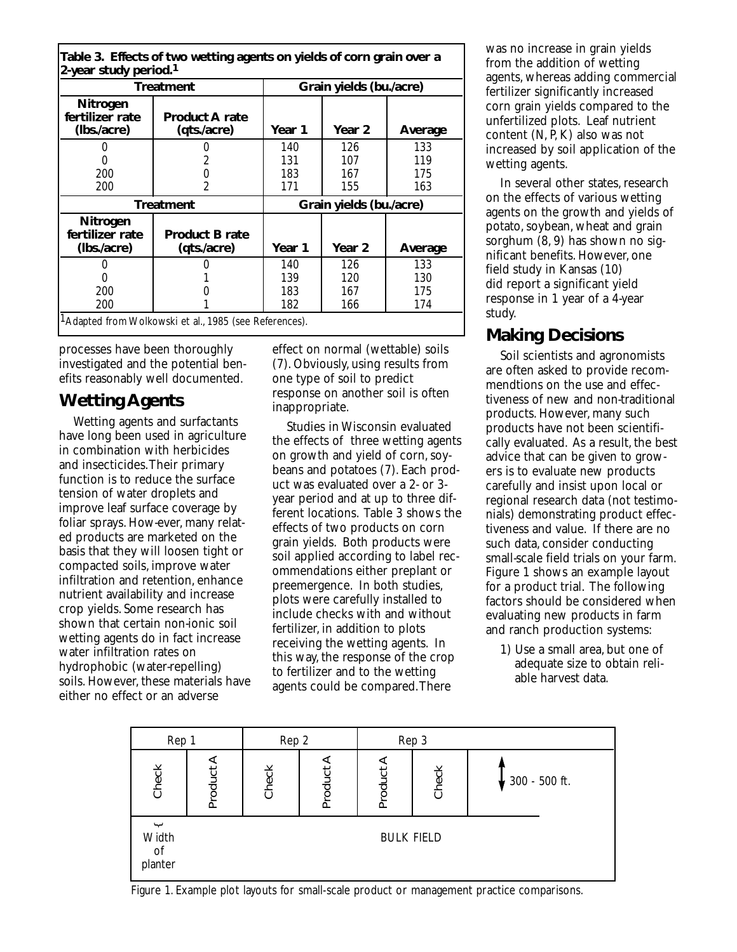| 2-year study period. <sup>1</sup>          | Table 3. Effects of two wetting agents on yields of corn grain over a |                         |        |         |  |
|--------------------------------------------|-----------------------------------------------------------------------|-------------------------|--------|---------|--|
| <b>Treatment</b>                           |                                                                       | Grain yields (bu./acre) |        |         |  |
| Nitrogen<br>fertilizer rate<br>(Ibs./acre) | <b>Product A rate</b><br>(qts./acre)                                  | Year 1                  | Year 2 | Average |  |
|                                            |                                                                       | 140                     | 126    | 133     |  |
|                                            |                                                                       | 131                     | 107    | 119     |  |
| 200                                        |                                                                       | 183                     | 167    | 175     |  |
| 200                                        | 2                                                                     | 171                     | 155    | 163     |  |
| <b>Treatment</b>                           |                                                                       | Grain yields (bu./acre) |        |         |  |
| Nitrogen<br>fertilizer rate<br>(Ibs./acre) | <b>Product B rate</b><br>(qts./acre)                                  | Year 1                  | Year 2 | Average |  |
|                                            |                                                                       | 140                     | 126    | 133     |  |
| ი                                          |                                                                       | 139                     | 120    | 130     |  |
| 200                                        |                                                                       | 183                     | 167    | 175     |  |
| 200                                        |                                                                       | 182                     | 166    | 174     |  |
|                                            | <sup>1</sup> Adapted from Wolkowski et al., 1985 (see References).    |                         |        |         |  |

processes have been thoroughly investigated and the potential benefits reasonably well documented.

# **Wetting Agents**

Wetting agents and surfactants have long been used in agriculture in combination with herbicides and insecticides.Their primary function is to reduce the surface tension of water droplets and improve leaf surface coverage by foliar sprays. How-ever, many related products are marketed on the basis that they will loosen tight or compacted soils, improve water infiltration and retention, enhance nutrient availability and increase crop yields. Some research has shown that certain non-ionic soil wetting agents do in fact increase water infiltration rates on hydrophobic (water-repelling) soils. However, these materials have either no effect or an adverse

effect on normal (wettable) soils (7). Obviously, using results from one type of soil to predict response on another soil is often inappropriate.

Studies in Wisconsin evaluated the effects of three wetting agents on growth and yield of corn,soybeans and potatoes (7). Each product was evaluated over a 2- or 3 year period and at up to three different locations. Table 3 shows the effects of two products on corn grain yields. Both products were soil applied according to label recommendations either preplant or preemergence. In both studies, plots were carefully installed to include checks with and without fertilizer, in addition to plots receiving the wetting agents. In this way, the response of the crop to fertilizer and to the wetting agents could be compared.There

was no increase in grain yields from the addition of wetting agents, whereas adding commercial fertilizer significantly increased corn grain yields compared to the unfertilized plots. Leaf nutrient content (N, P,K) also was not increased by soil application of the wetting agents.

In several other states, research on the effects of various wetting agents on the growth and yields of potato, soybean, wheat and grain sorghum (8, 9) has shown no significant benefits. However, one field study in Kansas (10) did report a significant yield response in 1 year of a 4-year study.

# **Making Decisions**

Soil scientists and agronomists are often asked to provide recommendtions on the use and effectiveness of new and non-traditional products. However, many such products have not been scientifically evaluated. As a result, the best advice that can be given to growers is to evaluate new products carefully and insist upon local or regional research data (not testimonials) demonstrating product effectiveness and value. If there are no such data, consider conducting small-scale field trials on your farm. Figure 1 shows an example layout for a product trial. The following factors should be considered when evaluating new products in farm and ranch production systems:

1) Use a small area, but one of adequate size to obtain reliable harvest data.



Figure 1. Example plot layouts for small-scale product or management practice comparisons.